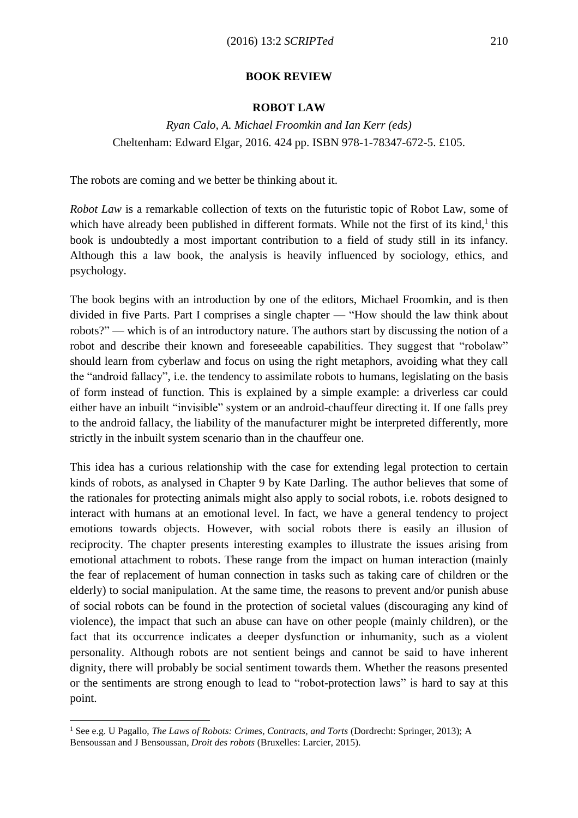## **BOOK REVIEW**

## **ROBOT LAW**

## *Ryan Calo, A. Michael Froomkin and Ian Kerr (eds)* Cheltenham: Edward Elgar, 2016. 424 pp. ISBN 978-1-78347-672-5. £105.

The robots are coming and we better be thinking about it.

*Robot Law* is a remarkable collection of texts on the futuristic topic of Robot Law, some of which have already been published in different formats. While not the first of its kind,<sup>1</sup> this book is undoubtedly a most important contribution to a field of study still in its infancy. Although this a law book, the analysis is heavily influenced by sociology, ethics, and psychology.

The book begins with an introduction by one of the editors, Michael Froomkin, and is then divided in five Parts. Part I comprises a single chapter — "How should the law think about robots?" — which is of an introductory nature. The authors start by discussing the notion of a robot and describe their known and foreseeable capabilities. They suggest that "robolaw" should learn from cyberlaw and focus on using the right metaphors, avoiding what they call the "android fallacy", i.e. the tendency to assimilate robots to humans, legislating on the basis of form instead of function. This is explained by a simple example: a driverless car could either have an inbuilt "invisible" system or an android-chauffeur directing it. If one falls prey to the android fallacy, the liability of the manufacturer might be interpreted differently, more strictly in the inbuilt system scenario than in the chauffeur one.

This idea has a curious relationship with the case for extending legal protection to certain kinds of robots, as analysed in Chapter 9 by Kate Darling. The author believes that some of the rationales for protecting animals might also apply to social robots, i.e. robots designed to interact with humans at an emotional level. In fact, we have a general tendency to project emotions towards objects. However, with social robots there is easily an illusion of reciprocity. The chapter presents interesting examples to illustrate the issues arising from emotional attachment to robots. These range from the impact on human interaction (mainly the fear of replacement of human connection in tasks such as taking care of children or the elderly) to social manipulation. At the same time, the reasons to prevent and/or punish abuse of social robots can be found in the protection of societal values (discouraging any kind of violence), the impact that such an abuse can have on other people (mainly children), or the fact that its occurrence indicates a deeper dysfunction or inhumanity, such as a violent personality. Although robots are not sentient beings and cannot be said to have inherent dignity, there will probably be social sentiment towards them. Whether the reasons presented or the sentiments are strong enough to lead to "robot-protection laws" is hard to say at this point.

 $\overline{a}$ <sup>1</sup> See e.g. U Pagallo, *The Laws of Robots: Crimes, Contracts, and Torts* (Dordrecht: Springer, 2013); A Bensoussan and J Bensoussan, *Droit des robots* (Bruxelles: Larcier, 2015).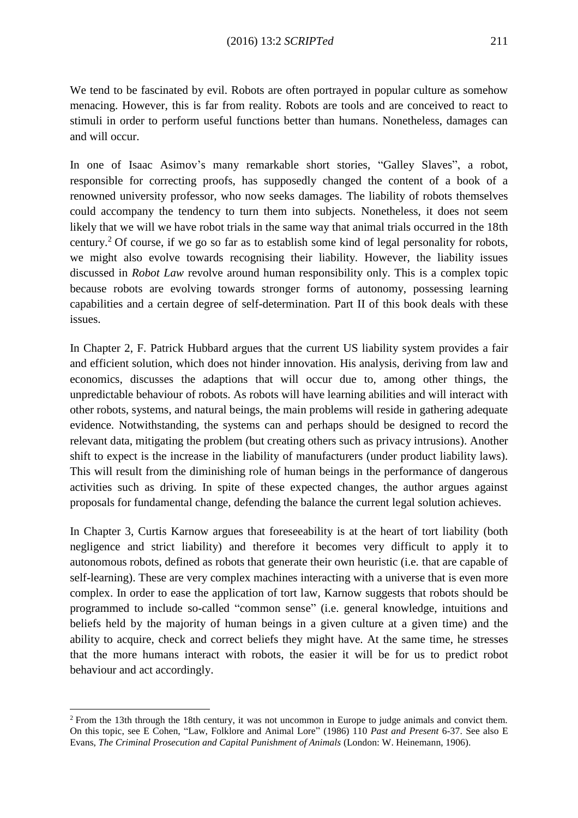We tend to be fascinated by evil. Robots are often portrayed in popular culture as somehow menacing. However, this is far from reality. Robots are tools and are conceived to react to stimuli in order to perform useful functions better than humans. Nonetheless, damages can and will occur.

In one of Isaac Asimov's many remarkable short stories, "Galley Slaves", a robot, responsible for correcting proofs, has supposedly changed the content of a book of a renowned university professor, who now seeks damages. The liability of robots themselves could accompany the tendency to turn them into subjects. Nonetheless, it does not seem likely that we will we have robot trials in the same way that animal trials occurred in the 18th century.<sup>2</sup> Of course, if we go so far as to establish some kind of legal personality for robots, we might also evolve towards recognising their liability. However, the liability issues discussed in *Robot Law* revolve around human responsibility only. This is a complex topic because robots are evolving towards stronger forms of autonomy, possessing learning capabilities and a certain degree of self-determination. Part II of this book deals with these issues.

In Chapter 2, F. Patrick Hubbard argues that the current US liability system provides a fair and efficient solution, which does not hinder innovation. His analysis, deriving from law and economics, discusses the adaptions that will occur due to, among other things, the unpredictable behaviour of robots. As robots will have learning abilities and will interact with other robots, systems, and natural beings, the main problems will reside in gathering adequate evidence. Notwithstanding, the systems can and perhaps should be designed to record the relevant data, mitigating the problem (but creating others such as privacy intrusions). Another shift to expect is the increase in the liability of manufacturers (under product liability laws). This will result from the diminishing role of human beings in the performance of dangerous activities such as driving. In spite of these expected changes, the author argues against proposals for fundamental change, defending the balance the current legal solution achieves.

In Chapter 3, Curtis Karnow argues that foreseeability is at the heart of tort liability (both negligence and strict liability) and therefore it becomes very difficult to apply it to autonomous robots, defined as robots that generate their own heuristic (i.e. that are capable of self-learning). These are very complex machines interacting with a universe that is even more complex. In order to ease the application of tort law, Karnow suggests that robots should be programmed to include so-called "common sense" (i.e. general knowledge, intuitions and beliefs held by the majority of human beings in a given culture at a given time) and the ability to acquire, check and correct beliefs they might have. At the same time, he stresses that the more humans interact with robots, the easier it will be for us to predict robot behaviour and act accordingly.

 $\overline{a}$ 

<sup>2</sup> From the 13th through the 18th century, it was not uncommon in Europe to judge animals and convict them. On this topic, see E Cohen, "Law, Folklore and Animal Lore" (1986) 110 *Past and Present* 6-37. See also E Evans, *The Criminal Prosecution and Capital Punishment of Animals* (London: W. Heinemann, 1906).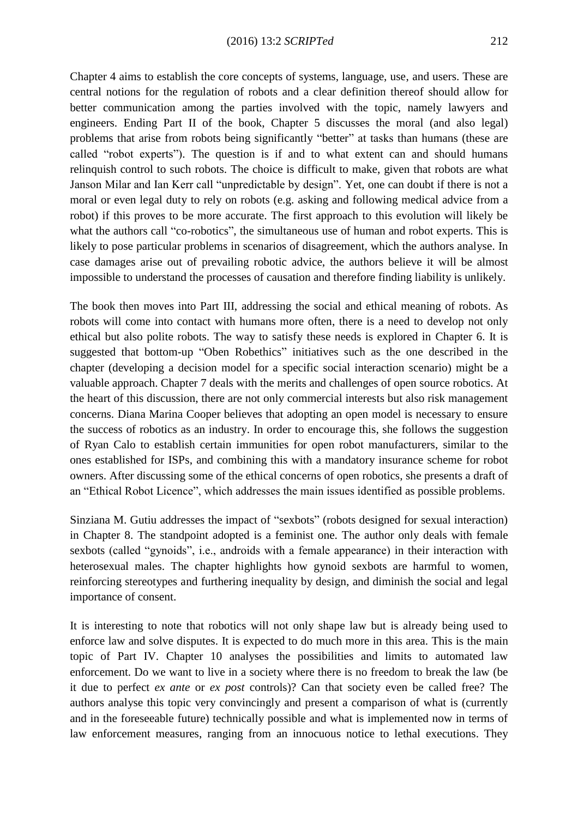Chapter 4 aims to establish the core concepts of systems, language, use, and users. These are central notions for the regulation of robots and a clear definition thereof should allow for better communication among the parties involved with the topic, namely lawyers and engineers. Ending Part II of the book, Chapter 5 discusses the moral (and also legal) problems that arise from robots being significantly "better" at tasks than humans (these are called "robot experts"). The question is if and to what extent can and should humans relinquish control to such robots. The choice is difficult to make, given that robots are what Janson Milar and Ian Kerr call "unpredictable by design". Yet, one can doubt if there is not a moral or even legal duty to rely on robots (e.g. asking and following medical advice from a robot) if this proves to be more accurate. The first approach to this evolution will likely be what the authors call "co-robotics", the simultaneous use of human and robot experts. This is likely to pose particular problems in scenarios of disagreement, which the authors analyse. In case damages arise out of prevailing robotic advice, the authors believe it will be almost impossible to understand the processes of causation and therefore finding liability is unlikely.

The book then moves into Part III, addressing the social and ethical meaning of robots. As robots will come into contact with humans more often, there is a need to develop not only ethical but also polite robots. The way to satisfy these needs is explored in Chapter 6. It is suggested that bottom-up "Oben Robethics" initiatives such as the one described in the chapter (developing a decision model for a specific social interaction scenario) might be a valuable approach. Chapter 7 deals with the merits and challenges of open source robotics. At the heart of this discussion, there are not only commercial interests but also risk management concerns. Diana Marina Cooper believes that adopting an open model is necessary to ensure the success of robotics as an industry. In order to encourage this, she follows the suggestion of Ryan Calo to establish certain immunities for open robot manufacturers, similar to the ones established for ISPs, and combining this with a mandatory insurance scheme for robot owners. After discussing some of the ethical concerns of open robotics, she presents a draft of an "Ethical Robot Licence", which addresses the main issues identified as possible problems.

Sinziana M. Gutiu addresses the impact of "sexbots" (robots designed for sexual interaction) in Chapter 8. The standpoint adopted is a feminist one. The author only deals with female sexbots (called "gynoids", i.e., androids with a female appearance) in their interaction with heterosexual males. The chapter highlights how gynoid sexbots are harmful to women, reinforcing stereotypes and furthering inequality by design, and diminish the social and legal importance of consent.

It is interesting to note that robotics will not only shape law but is already being used to enforce law and solve disputes. It is expected to do much more in this area. This is the main topic of Part IV. Chapter 10 analyses the possibilities and limits to automated law enforcement. Do we want to live in a society where there is no freedom to break the law (be it due to perfect *ex ante* or *ex post* controls)? Can that society even be called free? The authors analyse this topic very convincingly and present a comparison of what is (currently and in the foreseeable future) technically possible and what is implemented now in terms of law enforcement measures, ranging from an innocuous notice to lethal executions. They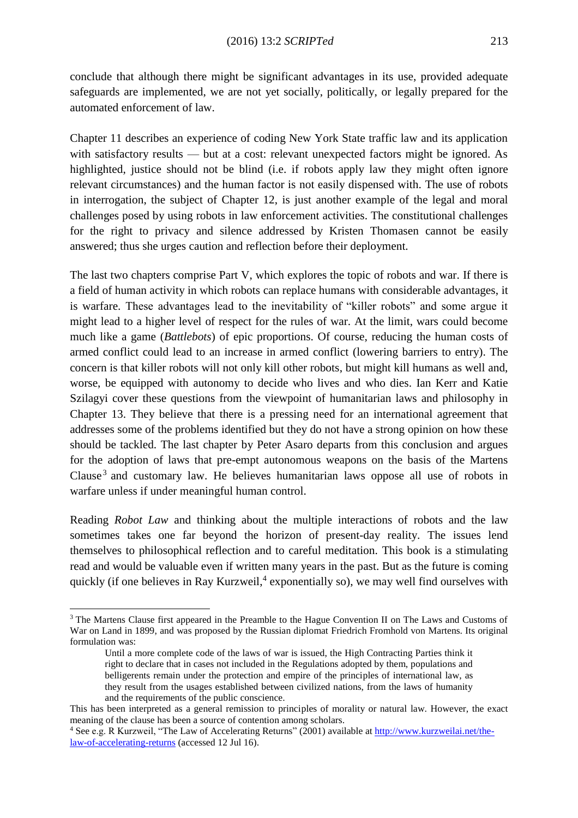conclude that although there might be significant advantages in its use, provided adequate safeguards are implemented, we are not yet socially, politically, or legally prepared for the automated enforcement of law.

Chapter 11 describes an experience of coding New York State traffic law and its application with satisfactory results — but at a cost: relevant unexpected factors might be ignored. As highlighted, justice should not be blind (i.e. if robots apply law they might often ignore relevant circumstances) and the human factor is not easily dispensed with. The use of robots in interrogation, the subject of Chapter 12, is just another example of the legal and moral challenges posed by using robots in law enforcement activities. The constitutional challenges for the right to privacy and silence addressed by Kristen Thomasen cannot be easily answered; thus she urges caution and reflection before their deployment.

The last two chapters comprise Part V, which explores the topic of robots and war. If there is a field of human activity in which robots can replace humans with considerable advantages, it is warfare. These advantages lead to the inevitability of "killer robots" and some argue it might lead to a higher level of respect for the rules of war. At the limit, wars could become much like a game (*Battlebots*) of epic proportions. Of course, reducing the human costs of armed conflict could lead to an increase in armed conflict (lowering barriers to entry). The concern is that killer robots will not only kill other robots, but might kill humans as well and, worse, be equipped with autonomy to decide who lives and who dies. Ian Kerr and Katie Szilagyi cover these questions from the viewpoint of humanitarian laws and philosophy in Chapter 13. They believe that there is a pressing need for an international agreement that addresses some of the problems identified but they do not have a strong opinion on how these should be tackled. The last chapter by Peter Asaro departs from this conclusion and argues for the adoption of laws that pre-empt autonomous weapons on the basis of the Martens Clause<sup>3</sup> and customary law. He believes humanitarian laws oppose all use of robots in warfare unless if under meaningful human control.

Reading *Robot Law* and thinking about the multiple interactions of robots and the law sometimes takes one far beyond the horizon of present-day reality. The issues lend themselves to philosophical reflection and to careful meditation. This book is a stimulating read and would be valuable even if written many years in the past. But as the future is coming quickly (if one believes in Ray Kurzweil,<sup>4</sup> exponentially so), we may well find ourselves with

 $\overline{a}$ 

<sup>&</sup>lt;sup>3</sup> The Martens Clause first appeared in the Preamble to the Hague Convention II on The Laws and Customs of War on Land in 1899, and was proposed by the Russian diplomat Friedrich Fromhold von Martens. Its original formulation was:

Until a more complete code of the laws of war is issued, the High Contracting Parties think it right to declare that in cases not included in the Regulations adopted by them, populations and belligerents remain under the protection and empire of the principles of international law, as they result from the usages established between civilized nations, from the laws of humanity and the requirements of the public conscience.

This has been interpreted as a general remission to principles of morality or natural law. However, the exact meaning of the clause has been a source of contention among scholars.

<sup>4</sup> See e.g. R Kurzweil, "The Law of Accelerating Returns" (2001) available a[t http://www.kurzweilai.net/the](http://www.kurzweilai.net/the-law-of-accelerating-returns)[law-of-accelerating-returns](http://www.kurzweilai.net/the-law-of-accelerating-returns) (accessed 12 Jul 16).